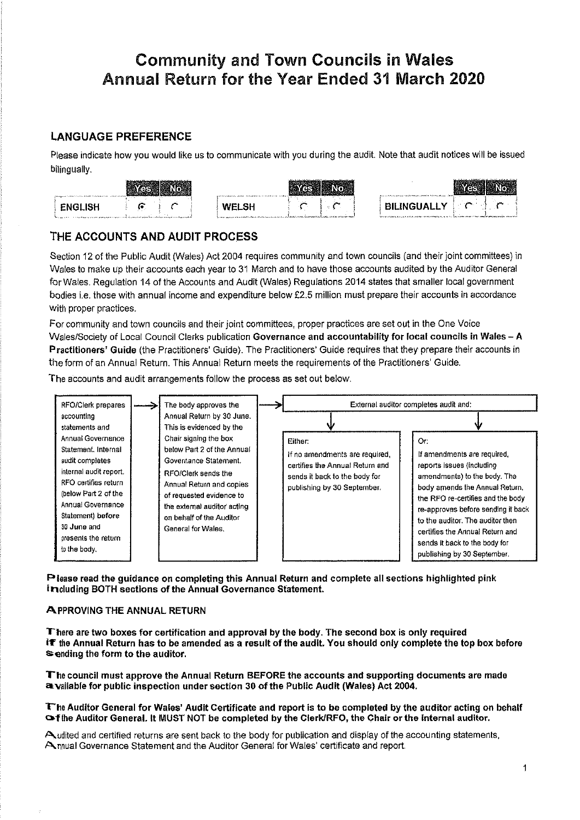# Community and Town Gouncils in Wales Annual Return for the Year Ended 31 March 202A

### LANGUAGE PREFERENCE

Please indicate how you would like us to communicate with you during the audit. Note that audit notices will be issued bilingually.

| chapters in the series were formed infabilities and constructions of                                                             | a primary powerful parties, more presentation including to a relation                                                                                     | Personal Perfection and the complete response to the first office and personal constitu-                                                                 |
|----------------------------------------------------------------------------------------------------------------------------------|-----------------------------------------------------------------------------------------------------------------------------------------------------------|----------------------------------------------------------------------------------------------------------------------------------------------------------|
| <b>FNGI ISH</b><br>Nacional con conservador a para propriama a casa con de la propia a primeira e estaban a acuba con que proble | - -<br>in I bel<br>VYELO.<br>for any any process service of the comment and more service of the defect term intermediately dependent on a change capacity | and a<br>and the property of<br>$\pm$ BILINGUALLY .<br>балар аралып, дары аларда аралы талып кешей, алар эле бартыргы темесе бартындарды аралып келет. А |

### THE ACCOUNTS AND AUDIT PROCESS

Section 12 of the Public Audít (Wales) Act 2004 requíres community and town councils (and their joint committees) in Wales to make up their accounts each year to 31 March and to have those accounts audited by the Auditor General forWales. Regulation 14 of the Accounts and Audit (Wales) Regulations 2014 states that smaller local government bodies i.e. those with annual income and expendíture below Ê2.5 míllion must prepare their accounts in accordance with proper practices.

Forcommunity and town councils and their joint committees, proper practices are set out in the One Voice Wales/Society of Local Council Clerks publícation Governance and accountability for local councils in Wales - A Practitioners' Guide (the Practitioners' Guide). The Practitioners' Guide requires that they prepare their accounts in the form of an Annual Return. This Annual Return meets the requirements of the Practítioners' Guide.

The accounts and audit arrangements follow the process as set out below.



Please read the guidance on completing this Annual Return and complete all sections highlighted pink including BOTH sectlons of the Annual Governance Statement.

### A PPROVING THE ANNUAL RETURN

There are two boxes for certification and approval by the body. The second box is only required<br>It the Annual Return has to be amended as a result of the audit. You should only complete the top box before sending the form to the auditor.

T'he council must approye the Annual Return BEFORE the accounts and supporting documents are made a.vallabfe for public inspection under sectlon 30 of the Publlc Audlt (Wales) Act 2004.

#### The Auditor General for Wales' Audit Certificate and report is to be completed by the auditor acting on behalf **Of the Auditor General. It MUST NOT be completed by the Clerk/RFO, the Chair or the internal auditor.**

Audited and certified returns are sent back to the body for publication and display of the accounting statements, Annual Governance Statement and the Auditor General for Wales' certificate and report.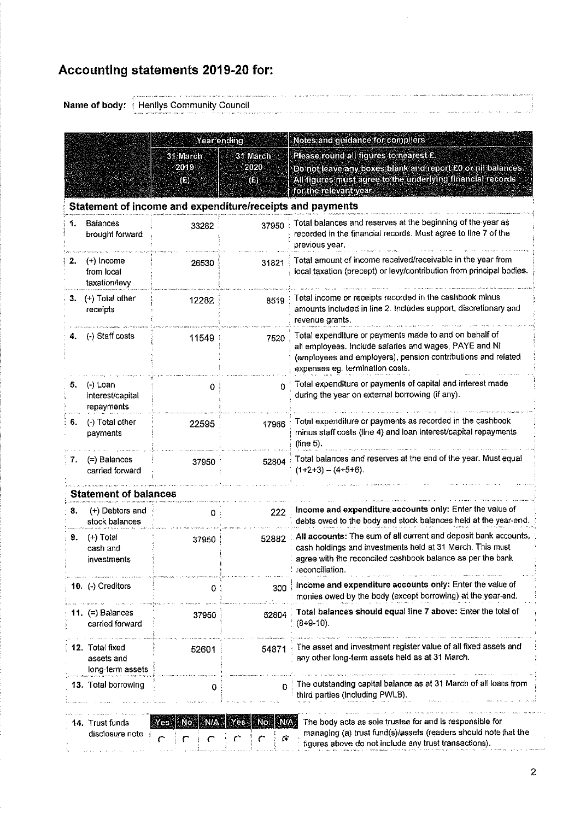# Accounting statements 2019-20 for:

Name of body: Henllys Community Council

|    |                                                   | Year ending<br>31 March<br>2019<br>(E)<br>Statement of income and expenditure/receipts and payments | 31 March<br>2020<br>(E)          | Notes and guidance for compilers<br>Please round all figures to nearest £.<br>Do not leave any boxes blank and report £0 or nil balances.<br>All figures must agree to the underlying financial records<br>for the relevant year. |
|----|---------------------------------------------------|-----------------------------------------------------------------------------------------------------|----------------------------------|-----------------------------------------------------------------------------------------------------------------------------------------------------------------------------------------------------------------------------------|
| 1. | Balances<br>brought forward                       | 33282                                                                                               | 37950                            | Total balances and reserves at the beginning of the year as<br>recorded in the financial records. Must agree to line 7 of the<br>previous year.                                                                                   |
| 2. | $(+)$ Income<br>from local<br>taxation/levy       | 26530                                                                                               | 31821                            | Total amount of income received/receivable in the year from<br>local taxation (precept) or levy/contribution from principal bodies.                                                                                               |
| 3. | (+) Total other<br>receipts                       | 12282                                                                                               | 8519                             | Total income or receipts recorded in the cashbook minus<br>amounts included in line 2. Includes support, discretionary and<br>revenue grants.                                                                                     |
|    | (-) Staff costs                                   | 11549                                                                                               | 7520                             | Total expenditure or payments made to and on behalf of<br>all employees. Include salaries and wages, PAYE and NI<br>(employees and employers), pension contributions and related<br>expenses eg. termination costs.               |
| 5. | (-) Loan<br>interest/capital<br>repayments        | 0                                                                                                   | 0                                | Total expenditure or payments of capital and interest made<br>during the year on external borrowing (if any).                                                                                                                     |
| 6. | (-) Total other<br>payments                       | 22595                                                                                               | 17966                            | Total expenditure or payments as recorded in the cashbook<br>minus staff costs (line 4) and loan interest/capital repayments<br>(line 5).                                                                                         |
| 7. | (=) Balances<br>carried torward                   | 37950                                                                                               | 52804                            | Total balances and reserves at the end of the year. Must equal<br>$(1+2+3) - (4+5+6)$ .                                                                                                                                           |
|    | <b>Statement of balances</b>                      |                                                                                                     |                                  |                                                                                                                                                                                                                                   |
| 8. | (+) Debtors and<br>stock balances                 | 0                                                                                                   | 222                              | Income and expenditure accounts only: Enter the value of<br>debts owed to the body and stock balances held at the year-end.                                                                                                       |
| 9. | $(+)$ Total<br>cash and<br>investments            | 37950                                                                                               | 52382                            | All accounts: The sum of all current and deposit bank accounts,<br>cash holdings and investments held at 31 March. This must<br>agree with the reconciled cashbook balance as per the bank<br>reconciliation.                     |
|    | 10. (-) Creditors                                 | 0                                                                                                   | 300                              | Income and expenditure accounts only: Enter the value of<br>monies owed by the body (except borrowing) at the year-end.                                                                                                           |
|    | 11. $(=)$ Balances<br>carried forward             | 37950                                                                                               | 52804                            | Total balances should equal line 7 above: Enter the total of<br>$(8+9-10)$ .                                                                                                                                                      |
|    | 12. Total fixed<br>assets and<br>long-term assets | 52601                                                                                               | 54871                            | The asset and investment register value of all fixed assets and<br>any other long-term assets held as at 31 March.                                                                                                                |
|    | 13. Total borrowing                               | 0                                                                                                   | $\Omega$                         | The outstanding capital balance as at 31 March of all loans from<br>third parties (including PWLB).                                                                                                                               |
|    | 14. Trust funds<br>disclosure note                | Yes No.                                                                                             | <b>NIA</b><br>- No:<br>Yes.<br>G | The body acts as sole trustee for and is responsible for<br>managing (a) trust fund(s)/assets (readers should note that the<br>figures above do not include any trust transactions).                                              |

ן<br>לפנים שאה בידוע מדינו וראש ממוסטמים ביו מידוע בין מרוואת בשיטעים אינט משיטרם, או ההמינו מינוס ממוסט היא בסוס ה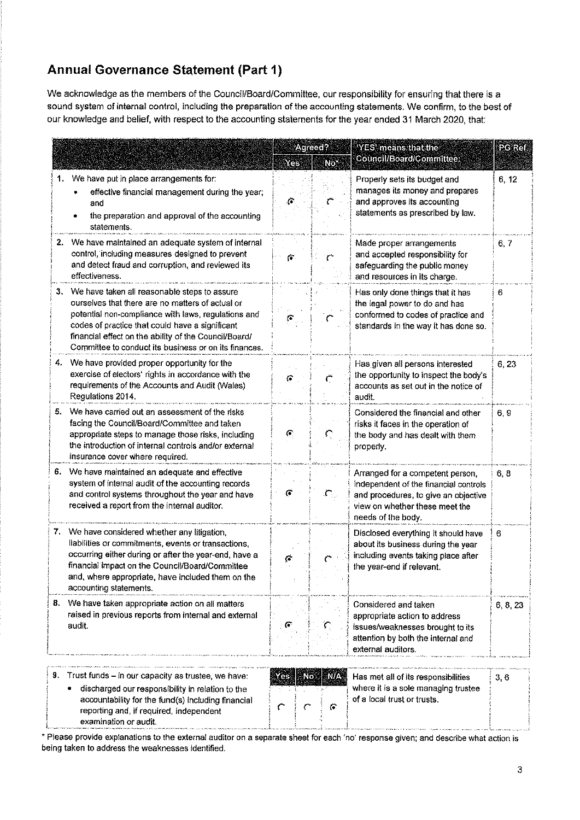# Annual Governance Statement (Part 1)

We acknowledge as the members of the Council/Board/Committee, our responsibility for ensuring that there is a sound system of internal control, including the preparation of the accounting statements. We confirm, to the best of our knowledge and belief, with respect to the accounting statements for the year ended 31 March 2020, that:

|    |                                                                                                                                                                                                                                                                                                                                 | Yes           | Agreed?<br>No.  | "YES" means that the<br>Council/Board/Committee:                                                                                                                          | PG Ref |
|----|---------------------------------------------------------------------------------------------------------------------------------------------------------------------------------------------------------------------------------------------------------------------------------------------------------------------------------|---------------|-----------------|---------------------------------------------------------------------------------------------------------------------------------------------------------------------------|--------|
| 1. | We have put in place arrangements for:<br>effective financial management during the year;<br>and<br>the preparation and approval of the accounting<br>statements.                                                                                                                                                               | G             |                 | Properly sets its budget and<br>manages its money and prepares<br>and approves its accounting<br>statements as prescribed by law.                                         | 6, 12  |
|    | 2. We have maintained an adequate system of internal<br>control, including measures designed to prevent<br>and detect fraud and corruption, and reviewed its<br>effectiveness.                                                                                                                                                  | $\mathcal{C}$ |                 | Made proper arrangements<br>and accepted responsibility for<br>safeguarding the public money<br>and resources in its charge.                                              | 6, 7   |
|    | 3. We have taken all reasonable steps to assure<br>ourselves that there are no matters of actual or<br>potential non-compliance with laws, regulations and<br>codes of practice that could have a significant<br>financial effect on the ability of the Council/Board/<br>Committee to conduct its business or on its finances. |               |                 | Has only done things that it has<br>the legal power to do and has<br>conformed to codes of practice and<br>standards in the way it has done so.                           | 6.     |
|    | We have provided proper opportunity for the<br>exercise of electors' rights in accordance with the<br>requirements of the Accounts and Audit (Wales)<br>Regulations 2014.                                                                                                                                                       | G             | Ļ.              | Has given all persons interested<br>the opportunity to inspect the body's<br>accounts as set out in the notice of<br>audit.                                               | 6, 23  |
|    | 5. We have carried out an assessment of the risks<br>facing the Council/Board/Committee and taken<br>appropriate steps to manage those risks, including<br>the introduction of internal controls and/or external<br>insurance cover where required.                                                                             | G.            |                 | Considered the financial and other<br>risks it faces in the operation of<br>the body and has dealt with them<br>properly.                                                 | 6,9    |
| 6. | We have maintained an adequate and effective<br>system of internal audit of the accounting records<br>and control systems throughout the year and have<br>received a report from the internal auditor.                                                                                                                          | G             |                 | Arranged for a competent person,<br>independent of the financial controls<br>and procedures, to give an objective<br>view on whether these meet the<br>needs of the body. | 6, 8   |
|    | 7. We have considered whether any litigation,<br>liabilities or commitments, events or transactions,<br>occurring either during or after the year-end, have a<br>financial impact on the Council/Board/Committee<br>and, where appropriate, have included them on the<br>accounting statements.                                 | G.            |                 | Disclosed everything it should have<br>about its business during the year<br>including events taking place after<br>the year-end if relevant.                             | 6      |
| 8. | We have taken appropriate action on all matters<br>raised in previous reports from internal and external<br>audit.                                                                                                                                                                                                              |               |                 | Considered and taken<br>appropriate action to address<br>issues/weaknesses brought to its<br>attention by both the internal and<br>external auditors.                     | 6 8 23 |
|    | 9. Trust funds - in our capacity as trustee, we have:<br>discharged our responsibility in relation to the<br>accountability for the fund(s) including financial<br>reporting and, if required, independent                                                                                                                      | No<br>Y es    | <b>N/A</b><br>G | Has met all of its responsibilities<br>where it is a sole managing trustee<br>of a local trust or trusts.                                                                 | 3,6    |

' Please provlde explanations to the external auditor on a separate sheet for each 'no' response given; and describe what action is being taken to address the weaknesses identified.

\*----,-{

i

examination or audit.

I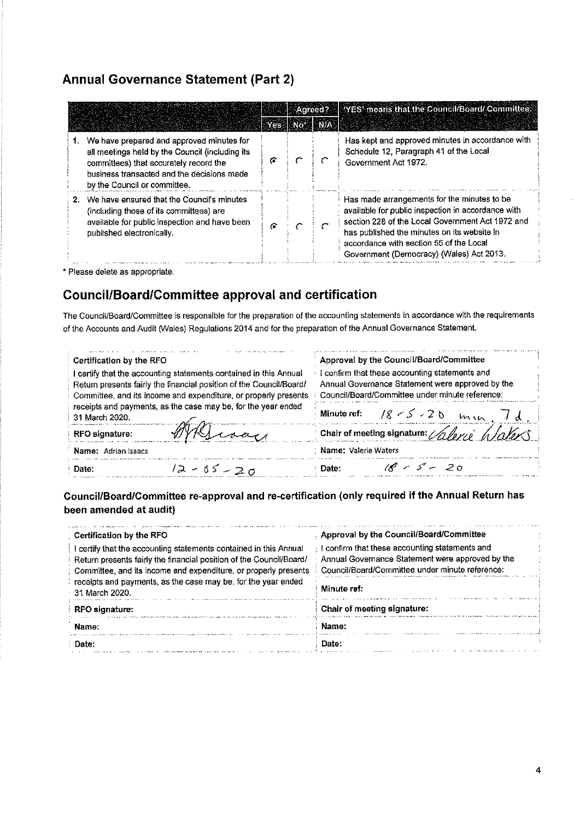## **Annual Governance Statement (Part 2)**

|  |                                                                                                                                                                                                                         |   |                     | Agreed? YES' means that the Council/Board/ Committee:                                                                                                                                                                                                                                       |
|--|-------------------------------------------------------------------------------------------------------------------------------------------------------------------------------------------------------------------------|---|---------------------|---------------------------------------------------------------------------------------------------------------------------------------------------------------------------------------------------------------------------------------------------------------------------------------------|
|  |                                                                                                                                                                                                                         |   | WEEK BIN FIKE BINTA |                                                                                                                                                                                                                                                                                             |
|  | 1. We have prepared and approved minutes for<br>all meetings held by the Council (including its<br>committees) that accurately record the<br>business transacted and the decisions made<br>by the Council or committee. | G |                     | Has kept and approved minutes in accordance with<br>Schedule 12, Paragraph 41 of the Local<br>Government Act 1972.                                                                                                                                                                          |
|  | 2. We have ensured that the Council's minutes<br>(including those of its committees) are<br>available for public inspection and have been<br>published electronically.                                                  | G |                     | Has made arrangements for the minutes to be<br>available for public inspection in accordance with<br>section 228 of the Local Government Act 1972 and<br>has published the minutes on its website in<br>accordance with section 55 of the Local<br>Government (Democracy) (Wales) Act 2013. |

\* Please delete as appropriate.

## **Council/Board/Committee approval and certification**

The Council/Board/Committee is responsible for the preparation of the accounting statements in accordance with the requirements of the Accounts and Audit (Wales) Regulations 2014 and for the preparation of the Annual Governance Statement.

| Certification by the RFO                                            | Approval by the Council/Board/Committee              |  |
|---------------------------------------------------------------------|------------------------------------------------------|--|
| certify that the accounting statements contained in this Annual     | confirm that these accounting statements and         |  |
| Return presents fairly the financial position of the Council/Board/ | Annual Governance Statement were approved by the     |  |
| Committee, and its income and expenditure, or properly presents     | Council/Board/Committee under minute reference:      |  |
| receipts and payments, as the case may be, for the year ended       | Minute ref: $8 < 20$                                 |  |
| 31 March 2020.                                                      | min                                                  |  |
| RFO signature:                                                      | Chair of meeting signature: $\sqrt{a}$ force hlaters |  |
| Name: Adrian Isaacs                                                 | : Name: Valerie Waters                               |  |
| $12 - 65 - 20$                                                      | $^{\circ}$ $\sim$ 5 $^{\circ}$ $\sim$ 20             |  |
| Date:                                                               | Date:                                                |  |

### Council/Board/Committee re-approval and re-certification (only required if the Annual Return has been amended at audit)

| Certification by the RFO                                                                                                                                                                                  | Approval by the Council/Board/Committee                                                                                                                      |
|-----------------------------------------------------------------------------------------------------------------------------------------------------------------------------------------------------------|--------------------------------------------------------------------------------------------------------------------------------------------------------------|
| certify that the accounting statements contained in this Annual<br>Return presents fairly the financial position of the Council/Board/<br>Committee, and its income and expenditure, or properly presents | <b>I</b> confirm that these accounting statements and<br>Annual Governance Statement were approved by the<br>Council/Board/Committee under minute reference: |
| receipts and payments, as the case may be, for the year ended<br>31 March 2020.                                                                                                                           | Minute ref:                                                                                                                                                  |
| <b>RFO</b> signature:                                                                                                                                                                                     | Chair of meeting signature:                                                                                                                                  |
| Name:                                                                                                                                                                                                     | Name:                                                                                                                                                        |
| Date:                                                                                                                                                                                                     | Dato:                                                                                                                                                        |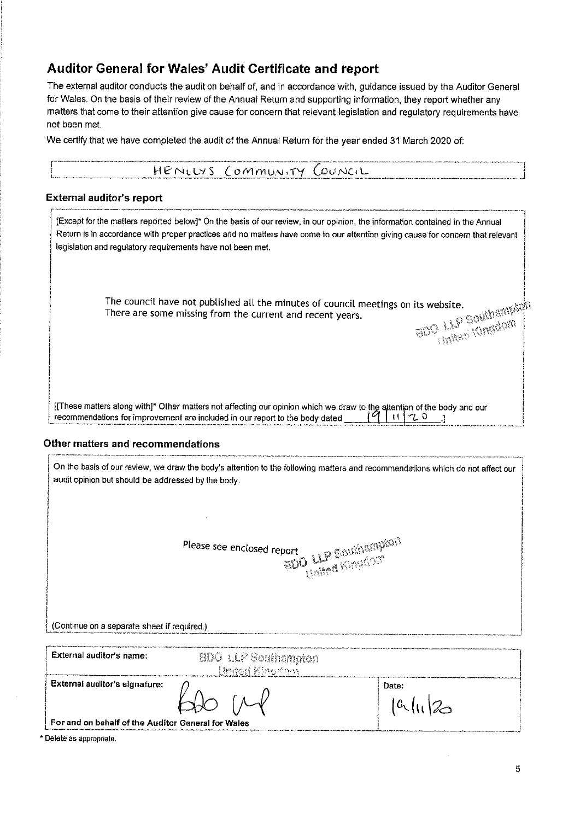## Auditor General for Wales' Audit Certificate and report

The external auditor conducts the audit on behalf of, and in accordance with, guidance issued by the Auditor General for Wales. On the basis of their review of the Annual Return and supporting information, they report whether any matters that come to their attention give cause for concern that relevant legislation and regulatory requirements have not been met.

We certify that we have completed the audit of the Annual Return for the year ended 31 March 2020 of:

| HENLLYS COMMUNITY COUNCIL |  |
|---------------------------|--|
|                           |  |

### **External auditor's report**

 $\sqrt{\phantom{a}}$ 

| [Except for the matters reported below]* On the basis of our review, in our opinion, the information contained in the Annual<br>Return is in accordance with proper practices and no matters have come to our attention giving cause for concern that relevant<br>legislation and regulatory requirements have not been met. |                       |
|------------------------------------------------------------------------------------------------------------------------------------------------------------------------------------------------------------------------------------------------------------------------------------------------------------------------------|-----------------------|
| The council have not published all the minutes of council meetings on its website.<br>There are some missing from the current and recent years.                                                                                                                                                                              | BETTY LIP Southampton |
| [[These matters along with]* Other matters not affecting our opinion which we draw to the attention of the body and our<br>recommendations for improvement are included in our report to the body dated                                                                                                                      |                       |

#### Other matters and recommendations

| On the basis of our review, we draw the body's attention to the following matters and recommendations which do not affect our<br>audit opinion but should be addressed by the body. |                                               |                     |  |  |  |  |  |  |
|-------------------------------------------------------------------------------------------------------------------------------------------------------------------------------------|-----------------------------------------------|---------------------|--|--|--|--|--|--|
| (Continue on a separate sheet if required.)                                                                                                                                         | Please see enclosed report                    | BDO LLP Soldhampton |  |  |  |  |  |  |
|                                                                                                                                                                                     |                                               |                     |  |  |  |  |  |  |
| External auditor's name:                                                                                                                                                            | <b>BDO</b> LLP Southampton<br>United Kiner'om |                     |  |  |  |  |  |  |
| External auditor's signature:                                                                                                                                                       |                                               | Date:<br> a (       |  |  |  |  |  |  |
| For and on behalf of the Auditor General for Wales                                                                                                                                  |                                               |                     |  |  |  |  |  |  |

\* Delete as appropriate.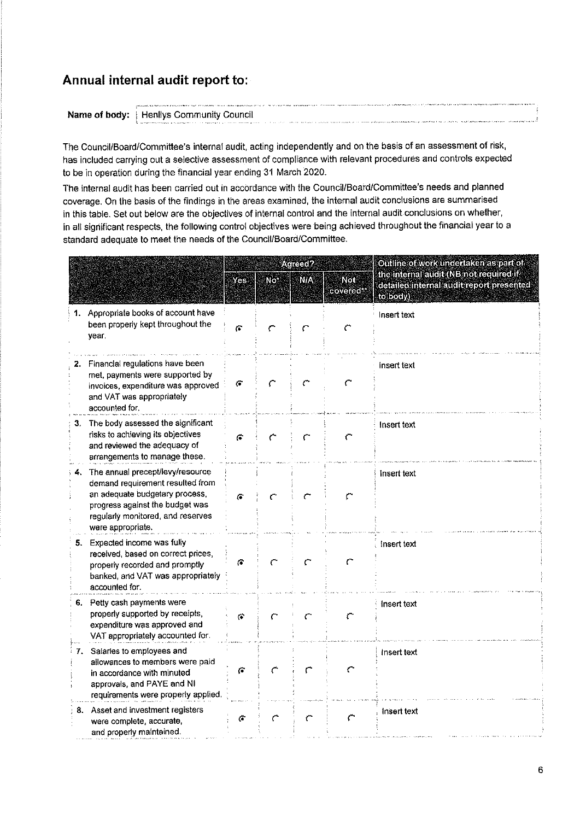# Annual internal audit report to:

| - PERSONAL COMPANY AND ANOTHER COMPANY OF THE CONTRACTORS OF THE CONTRACT OF THE CONTRACT OF CONTRASS OF THE CONTRACT OF THE CONTRACT OF THE CONTRACT OF THE CONTRACT OF THE CONTRACT OF THE CONTRACT OF THE CONTRACT OF THE C |  |
|--------------------------------------------------------------------------------------------------------------------------------------------------------------------------------------------------------------------------------|--|
|                                                                                                                                                                                                                                |  |
| <b>Name of body:</b> Henliys Community Council                                                                                                                                                                                 |  |
| S. Graphing and a scandal of a support of the above process of a special and and and and any arrangement and advancement in and any of the substitution in the memorial of the memorial of the memorial and any any any any an |  |

The Council/Board/Committee's internal audit, acting independently and on the basis of an assessment of risk, has included carrying out a selective assessment of compliance with relevant procedures and controls expected to be in operation during the financial year ending 31 March 2020.

The internal audit has been carried out in accordance with the Council/Board/Committee's needs and planned coverage. On the basis of the findings in the areas examined, the internal audit conclusions are summarised in this table. Set out below are the objectives of internal control and the internal audit conclusions on whether, in all significant respects, the following control objectives were being achieved throughout the financial year to a standard adequate to meet the needs of the Council/Board/Committee.

|                |                                                                                                                                                                                                        | Yes      | Not | Agreed?<br><b>N/A</b> | Not<br>covered** | Outline of work undertaken as part of<br>the internal audit (NB not required if<br>detailed internal audit report presented<br>to body) |
|----------------|--------------------------------------------------------------------------------------------------------------------------------------------------------------------------------------------------------|----------|-----|-----------------------|------------------|-----------------------------------------------------------------------------------------------------------------------------------------|
|                | 1. Appropriate books of account have<br>been properly kept throughout the<br>year.                                                                                                                     | G.       |     |                       | ٣                | Insert text                                                                                                                             |
|                | Financial regulations have been<br>met, payments were supported by<br>invoices, expenditure was approved<br>and VAT was appropriately<br>accounted for.                                                | $\sigma$ |     |                       | С                | insert text                                                                                                                             |
| 3 <sub>1</sub> | The body assessed the significant<br>risks to achieving its objectives<br>and reviewed the adequacy of<br>arrangements to manage these.                                                                | ۴        | ←   | ٣                     | ో                | Insert text                                                                                                                             |
|                | 4. The annual precept/levy/resource<br>demand requirement resulted from<br>an adequate budgetary process,<br>progress against the budget was<br>regularly monitored, and reserves<br>were appropriate. | G.       |     |                       | ٣                | Insert text                                                                                                                             |
| 5.             | Expected income was fully<br>received, based on correct prices,<br>properly recorded and promptly<br>banked, and VAT was appropriately<br>accounted for.                                               | G        |     |                       |                  | Insert text                                                                                                                             |
|                | 6. Petty cash payments were<br>properly supported by receipts,<br>expenditure was approved and<br>VAT appropriately accounted for.                                                                     | 令        |     |                       | r                | insert text                                                                                                                             |
| 7.             | Salaries to employees and<br>allowances to members were paid<br>in accordance with minuted<br>approvals, and PAYE and NI<br>requirements were properly applied.                                        | Ğ        |     |                       |                  | insert text                                                                                                                             |
|                | 8. Asset and investment registers<br>were complete, accurate,<br>and properly maintained.                                                                                                              | G        |     |                       |                  | Insert text                                                                                                                             |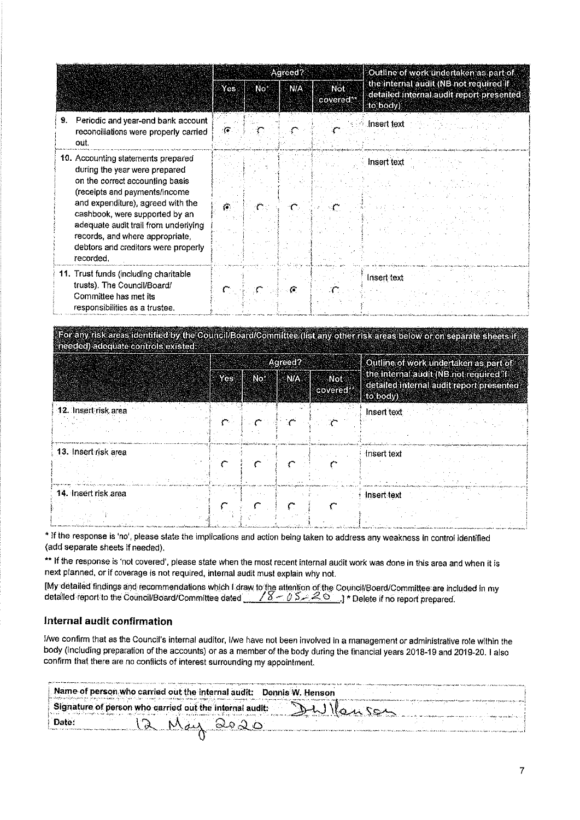|                                                                                                                                                                                                                                                                                                                                               |    | Agreed? |                         | Outline of work undertaken as part of                                                          |  |
|-----------------------------------------------------------------------------------------------------------------------------------------------------------------------------------------------------------------------------------------------------------------------------------------------------------------------------------------------|----|---------|-------------------------|------------------------------------------------------------------------------------------------|--|
|                                                                                                                                                                                                                                                                                                                                               |    | SNA     | <b>Not</b><br>covered." | the internal audit (NB not required if<br>detailed internal audit report presented<br>to body) |  |
| Periodic and year-end bank account<br>9.<br>reconciliations were properly carried<br>oút.                                                                                                                                                                                                                                                     | ়ে |         |                         | Insert text                                                                                    |  |
| 10. Accounting statements prepared<br>during the year were prepared<br>on the correct accounting basis<br>(receipts and payments/income<br>and expenditure), agreed with the<br>cashbook, were supported by an<br>adequate audit trail from underlying<br>records, and where appropriate,<br>debtors and creditors were properly<br>recorded. |    |         |                         | <b>Insert text</b>                                                                             |  |
| 11. Trust funds (including charitable<br>trusts). The Council/Board/<br>Committee has met its<br>responsibilities as a trustee.                                                                                                                                                                                                               |    | -6      |                         | Insert text                                                                                    |  |

For any risk areas identified by the Council/Board/Committee (list any other risk areas below or on separate sheets if needed) adequate controls existed

|                      | Agreed? |  |                                |  | Outline of work undertaken as part of                                                          |  |  |
|----------------------|---------|--|--------------------------------|--|------------------------------------------------------------------------------------------------|--|--|
|                      | Yes No  |  | <b>NIA</b><br>- Not<br>covered |  | the internal audit (NB not required if<br>detailed internal audit report presented<br>to body) |  |  |
| 12. Insert risk area |         |  |                                |  | Insert text                                                                                    |  |  |
| 13. Insert risk area |         |  |                                |  | etamenta tenganyakan tumutu yang ka<br>Insert text                                             |  |  |
| 14. Insert risk area |         |  |                                |  | Insert text                                                                                    |  |  |

\* If the response is 'no', please state the implications and action being taken to address any weakness in control identified (add separate sheets if needed).

\*\* If the response is 'not covered', please state when the most recent internal audit work was done in this area and when it is next planned, or if coverage is not required, internal audit must explain why not.

[My detailed findings and recommendations which I draw to the attention of the Council/Board/Committee are included in my detailed report to the Council/Board/Committee dated  $\sqrt{S - 0.5 - 2.0}$ . The lete if no report prepa

#### Internal audit confirmation

I/we confirm that as the Council's internal auditor, I/we have not been involved in a management or administrative role within the body (including preparation of the accounts) or as a member of the body during the financial years 2018-19 and 2019-20. I also confirm that there are no conflicts of interest surrounding my appointment.

|                                                                                                                                                                                                                                                                                                                                                                                                                              | Mame of person who carried out the internal audit: Dennis W. Henson<br>Ун обеспечественность в обучается продаже, было было было созданно состоянием на продажение на политику было было |  |  |  |  |  |  |  |
|------------------------------------------------------------------------------------------------------------------------------------------------------------------------------------------------------------------------------------------------------------------------------------------------------------------------------------------------------------------------------------------------------------------------------|------------------------------------------------------------------------------------------------------------------------------------------------------------------------------------------|--|--|--|--|--|--|--|
| tert the metallitude of the second way. He was a complete before any considered to a control of the second control of the second control of the second control of the second control of the second control of the second contr<br>Signature of person who carried out the internal audit:<br>$4.50 -$<br>والرادا المواد والرابي والمراوي المساولين كالمستوين والمستوقف والمتناقص فأنست والمتحافظ كالمتحافظ كالمتحافظ والمتحا |                                                                                                                                                                                          |  |  |  |  |  |  |  |
|                                                                                                                                                                                                                                                                                                                                                                                                                              | May 2020<br>Date:                                                                                                                                                                        |  |  |  |  |  |  |  |
|                                                                                                                                                                                                                                                                                                                                                                                                                              |                                                                                                                                                                                          |  |  |  |  |  |  |  |